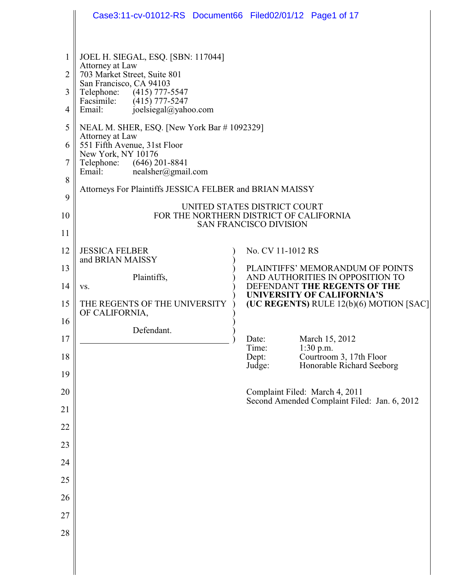|                | Case3:11-cv-01012-RS Document66 Filed02/01/12 Page1 of 17                                                                                          |                                                                                                       |                                                                                |  |
|----------------|----------------------------------------------------------------------------------------------------------------------------------------------------|-------------------------------------------------------------------------------------------------------|--------------------------------------------------------------------------------|--|
|                |                                                                                                                                                    |                                                                                                       |                                                                                |  |
| $\overline{2}$ | JOEL H. SIEGAL, ESQ. [SBN: 117044]<br>Attorney at Law<br>703 Market Street, Suite 801<br>San Francisco, CA 94103<br>Telephone:<br>$(415)$ 777-5547 |                                                                                                       |                                                                                |  |
| 3              |                                                                                                                                                    |                                                                                                       |                                                                                |  |
| 4              | Facsimile: (415) 777-5247<br>joelsiegal@yahoo.com<br>Email:                                                                                        |                                                                                                       |                                                                                |  |
| 5              | NEAL M. SHER, ESQ. [New York Bar # 1092329]                                                                                                        |                                                                                                       |                                                                                |  |
| 6              | Attorney at Law<br>551 Fifth Avenue, 31st Floor                                                                                                    |                                                                                                       |                                                                                |  |
| 7              | New York, NY 10176<br>Telephone: (646) 201-8841<br>Email:<br>$nealsher(\widehat{a})$ gmail.com                                                     |                                                                                                       |                                                                                |  |
| 8              |                                                                                                                                                    |                                                                                                       |                                                                                |  |
| 9              | Attorneys For Plaintiffs JESSICA FELBER and BRIAN MAISSY                                                                                           |                                                                                                       |                                                                                |  |
| 10             | UNITED STATES DISTRICT COURT<br>FOR THE NORTHERN DISTRICT OF CALIFORNIA<br><b>SAN FRANCISCO DIVISION</b>                                           |                                                                                                       |                                                                                |  |
| 11             |                                                                                                                                                    |                                                                                                       |                                                                                |  |
| 12             | <b>JESSICA FELBER</b><br>and BRIAN MAISSY                                                                                                          |                                                                                                       | No. CV 11-1012 RS                                                              |  |
| 13             | Plaintiffs,                                                                                                                                        |                                                                                                       | PLAINTIFFS' MEMORANDUM OF POINTS                                               |  |
| 14             | VS.                                                                                                                                                | AND AUTHORITIES IN OPPOSITION TO<br>DEFENDANT THE REGENTS OF THE<br><b>UNIVERSITY OF CALIFORNIA'S</b> |                                                                                |  |
| 15             | THE REGENTS OF THE UNIVERSITY<br>OF CALIFORNIA,                                                                                                    |                                                                                                       | (UC REGENTS) RULE 12(b)(6) MOTION [SAC]                                        |  |
| 16             | Defendant.                                                                                                                                         |                                                                                                       |                                                                                |  |
| 17             |                                                                                                                                                    | Date:<br>Time:                                                                                        | March 15, 2012<br>$1:30$ p.m.                                                  |  |
| 18             |                                                                                                                                                    | Dept:<br>Judge:                                                                                       | Courtroom 3, 17th Floor<br>Honorable Richard Seeborg                           |  |
| 19             |                                                                                                                                                    |                                                                                                       |                                                                                |  |
| 20             |                                                                                                                                                    |                                                                                                       | Complaint Filed: March 4, 2011<br>Second Amended Complaint Filed: Jan. 6, 2012 |  |
| 21             |                                                                                                                                                    |                                                                                                       |                                                                                |  |
| 22             |                                                                                                                                                    |                                                                                                       |                                                                                |  |
| 23             |                                                                                                                                                    |                                                                                                       |                                                                                |  |
| 24             |                                                                                                                                                    |                                                                                                       |                                                                                |  |
| 25             |                                                                                                                                                    |                                                                                                       |                                                                                |  |
| 26             |                                                                                                                                                    |                                                                                                       |                                                                                |  |
| 27<br>28       |                                                                                                                                                    |                                                                                                       |                                                                                |  |
|                |                                                                                                                                                    |                                                                                                       |                                                                                |  |
|                |                                                                                                                                                    |                                                                                                       |                                                                                |  |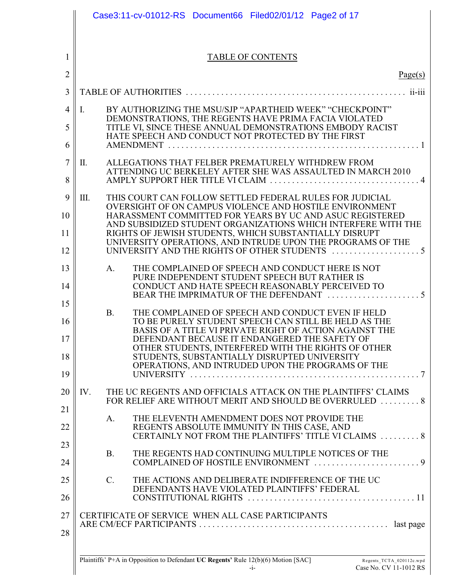|                | Case3:11-cv-01012-RS Document66 Filed02/01/12 Page2 of 17                                                               |
|----------------|-------------------------------------------------------------------------------------------------------------------------|
|                |                                                                                                                         |
| 1              | <b>TABLE OF CONTENTS</b>                                                                                                |
| $\overline{2}$ | Page(s)                                                                                                                 |
| 3              |                                                                                                                         |
| 4              | BY AUTHORIZING THE MSU/SJP "APARTHEID WEEK" "CHECKPOINT"<br>Ι.                                                          |
| 5              | DEMONSTRATIONS, THE REGENTS HAVE PRIMA FACIA VIOLATED<br>TITLE VI, SINCE THESE ANNUAL DEMONSTRATIONS EMBODY RACIST      |
| 6              | HATE SPEECH AND CONDUCT NOT PROTECTED BY THE FIRST                                                                      |
| 7              | П.<br>ALLEGATIONS THAT FELBER PREMATURELY WITHDREW FROM                                                                 |
| 8              | ATTENDING UC BERKELEY AFTER SHE WAS ASSAULTED IN MARCH 2010                                                             |
| 9              | III.<br>THIS COURT CAN FOLLOW SETTLED FEDERAL RULES FOR JUDICIAL                                                        |
| 10             | OVERSIGHT OF ON CAMPUS VIOLENCE AND HOSTILE ENVIRONMENT<br>HARASSMENT COMMITTED FOR YEARS BY UC AND ASUC REGISTERED     |
| 11             | AND SUBSIDIZED STUDENT ORGANIZATIONS WHICH INTERFERE WITH THE<br>RIGHTS OF JEWISH STUDENTS, WHICH SUBSTANTIALLY DISRUPT |
| 12             | UNIVERSITY OPERATIONS, AND INTRUDE UPON THE PROGRAMS OF THE                                                             |
| 13             | A.<br>THE COMPLAINED OF SPEECH AND CONDUCT HERE IS NOT                                                                  |
| 14             | PURE INDEPENDENT STUDENT SPEECH BUT RATHER IS<br>CONDUCT AND HATE SPEECH REASONABLY PERCEIVED TO                        |
| 15             |                                                                                                                         |
| 16             | <b>B.</b><br>THE COMPLAINED OF SPEECH AND CONDUCT EVEN IF HELD<br>TO BE PURELY STUDENT SPEECH CAN STILL BE HELD AS THE  |
| 17             | BASIS OF A TITLE VI PRIVATE RIGHT OF ACTION AGAINST THE<br>DEFENDANT BECAUSE IT ENDANGERED THE SAFETY OF                |
| 18             | OTHER STUDENTS, INTERFERED WITH THE RIGHTS OF OTHER<br>STUDENTS, SUBSTANTIALLY DISRUPTED UNIVERSITY                     |
| 19             | OPERATIONS, AND INTRUDED UPON THE PROGRAMS OF THE                                                                       |
| 20             | THE UC REGENTS AND OFFICIALS ATTACK ON THE PLAINTIFFS' CLAIMS<br>IV.                                                    |
| 21             | FOR RELIEF ARE WITHOUT MERIT AND SHOULD BE OVERRULED  8                                                                 |
| 22             | THE ELEVENTH AMENDMENT DOES NOT PROVIDE THE<br>A.<br>REGENTS ABSOLUTE IMMUNITY IN THIS CASE, AND                        |
| 23             | CERTAINLY NOT FROM THE PLAINTIFFS' TITLE VI CLAIMS  8                                                                   |
| 24             | THE REGENTS HAD CONTINUING MULTIPLE NOTICES OF THE<br><b>B.</b>                                                         |
| 25             | $C_{\cdot}$<br>THE ACTIONS AND DELIBERATE INDIFFERENCE OF THE UC                                                        |
| 26             | DEFENDANTS HAVE VIOLATED PLAINTIFFS' FEDERAL                                                                            |
| 27             | CERTIFICATE OF SERVICE WHEN ALL CASE PARTICIPANTS                                                                       |
| 28             |                                                                                                                         |
|                | $\frac{1}{2}$ 1.124 $\times$ 0.14 $\pm$ 1.154 $\frac{1}{2}$                                                             |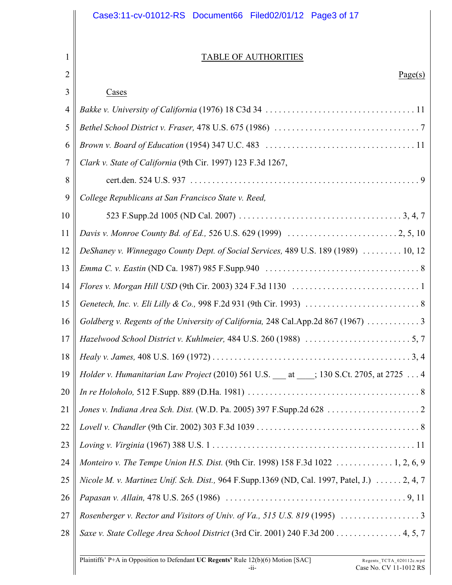|                | Case3:11-cv-01012-RS Document66 Filed02/01/12 Page3 of 17                                   |
|----------------|---------------------------------------------------------------------------------------------|
|                |                                                                                             |
| 1              | <b>TABLE OF AUTHORITIES</b>                                                                 |
| $\overline{2}$ | Page(s)                                                                                     |
| 3              | Cases                                                                                       |
| $\overline{4}$ |                                                                                             |
| 5              |                                                                                             |
| 6              |                                                                                             |
| $\overline{7}$ | Clark v. State of California (9th Cir. 1997) 123 F.3d 1267,                                 |
| 8              |                                                                                             |
| 9              | College Republicans at San Francisco State v. Reed,                                         |
| 10             |                                                                                             |
| 11             |                                                                                             |
| 12             | DeShaney v. Winnegago County Dept. of Social Services, 489 U.S. 189 (1989)  10, 12          |
| 13             |                                                                                             |
| 14             |                                                                                             |
| 15             |                                                                                             |
| 16             | Goldberg v. Regents of the University of California, 248 Cal.App.2d 867 (1967)  3           |
| 17             |                                                                                             |
| 18             |                                                                                             |
| 19             | Holder v. Humanitarian Law Project (2010) 561 U.S. 1 at 130 S.Ct. 2705, at 2725  4          |
| 20             |                                                                                             |
| 21             |                                                                                             |
| 22             |                                                                                             |
| 23             |                                                                                             |
| 24             | Monteiro v. The Tempe Union H.S. Dist. (9th Cir. 1998) 158 F.3d 1022  1, 2, 6, 9            |
| 25             | Nicole M. v. Martinez Unif. Sch. Dist., 964 F.Supp.1369 (ND, Cal. 1997, Patel, J.)  2, 4, 7 |

26 27 *Papasan v. Allain,* 478 U.S. 265 (1986) ......................................... 9, 11 *Rosenberger v. Rector and Visitors of Univ. of Va., 515 U.S. 819* (1995) .................. 3

28 *Saxe v. State College Area School District* (3rd Cir. 2001) 240 F.3d 200 . . . . . . . . . . . . . . . 4, 5, 7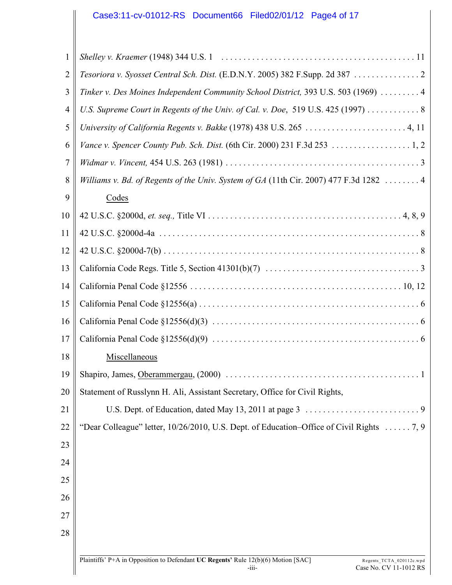# Case3:11-cv-01012-RS Document66 Filed02/01/12 Page4 of 17

| $\mathbf{1}$   |                                                                                                               |
|----------------|---------------------------------------------------------------------------------------------------------------|
| $\overline{2}$ | Tesoriora v. Syosset Central Sch. Dist. (E.D.N.Y. 2005) 382 F.Supp. 2d 387  2                                 |
| 3              | Tinker v. Des Moines Independent Community School District, 393 U.S. 503 (1969)  4                            |
| $\overline{4}$ | U.S. Supreme Court in Regents of the Univ. of Cal. v. Doe, 519 U.S. 425 (1997) 8                              |
| 5              | University of California Regents v. Bakke (1978) 438 U.S. 265  4, 11                                          |
| 6              |                                                                                                               |
| 7              |                                                                                                               |
| 8              | Williams v. Bd. of Regents of the Univ. System of GA (11th Cir. 2007) 477 F.3d 1282  4                        |
| 9              | Codes                                                                                                         |
| 10             |                                                                                                               |
| 11             |                                                                                                               |
| 12             |                                                                                                               |
| 13             |                                                                                                               |
| 14             |                                                                                                               |
| 15             |                                                                                                               |
| 16             |                                                                                                               |
| 17             |                                                                                                               |
| 18             | Miscellaneous                                                                                                 |
| 19             | Shapiro, James, Oberammergau, (2000)<br>1                                                                     |
| 20             | Statement of Russlynn H. Ali, Assistant Secretary, Office for Civil Rights,                                   |
| 21             |                                                                                                               |
| 22             | "Dear Colleague" letter, 10/26/2010, U.S. Dept. of Education-Office of Civil Rights  7, 9                     |
| 23             |                                                                                                               |
| 24             |                                                                                                               |
| 25             |                                                                                                               |
| 26             |                                                                                                               |
| 27             |                                                                                                               |
| 28             |                                                                                                               |
|                | Plaintiffs' P+A in Opposition to Defendant UC Regents' Rule 12(b)(6) Motion [SAC]<br>Regents_TCTA_020112c.wpd |

 $\mathsf I$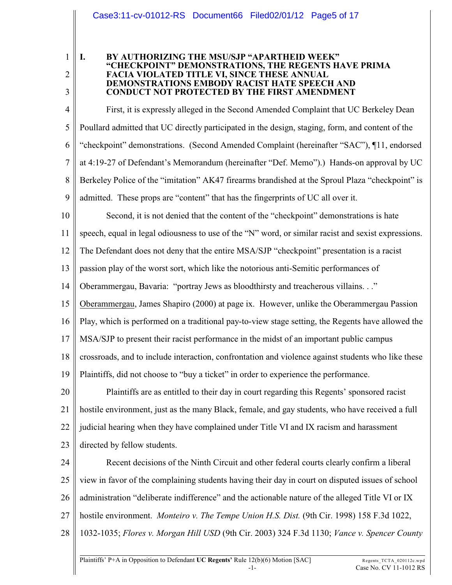#### Case3:11-cv-01012-RS Document66 Filed02/01/12 Page5 of 17

1 2

3

#### **I. BY AUTHORIZING THE MSU/SJP "APARTHEID WEEK" "CHECKPOINT" DEMONSTRATIONS, THE REGENTS HAVE PRIMA FACIA VIOLATED TITLE VI, SINCE THESE ANNUAL DEMONSTRATIONS EMBODY RACIST HATE SPEECH AND CONDUCT NOT PROTECTED BY THE FIRST AMENDMENT**

4 5 6 7 8 9 First, it is expressly alleged in the Second Amended Complaint that UC Berkeley Dean Poullard admitted that UC directly participated in the design, staging, form, and content of the "checkpoint" demonstrations. (Second Amended Complaint (hereinafter "SAC"), ¶11, endorsed at 4:19-27 of Defendant's Memorandum (hereinafter "Def. Memo").) Hands-on approval by UC Berkeley Police of the "imitation" AK47 firearms brandished at the Sproul Plaza "checkpoint" is admitted. These props are "content" that has the fingerprints of UC all over it.

10 Second, it is not denied that the content of the "checkpoint" demonstrations is hate

11 speech, equal in legal odiousness to use of the "N" word, or similar racist and sexist expressions.

12 The Defendant does not deny that the entire MSA/SJP "checkpoint" presentation is a racist

13 passion play of the worst sort, which like the notorious anti-Semitic performances of

14 Oberammergau, Bavaria: "portray Jews as bloodthirsty and treacherous villains. . ."

15 Oberammergau, James Shapiro (2000) at page ix. However, unlike the Oberammergau Passion

16 Play, which is performed on a traditional pay-to-view stage setting, the Regents have allowed the

17 MSA/SJP to present their racist performance in the midst of an important public campus

18 crossroads, and to include interaction, confrontation and violence against students who like these

19 Plaintiffs, did not choose to "buy a ticket" in order to experience the performance.

20 21 22 23 Plaintiffs are as entitled to their day in court regarding this Regents' sponsored racist hostile environment, just as the many Black, female, and gay students, who have received a full judicial hearing when they have complained under Title VI and IX racism and harassment directed by fellow students.

24 25 26 27 28 Recent decisions of the Ninth Circuit and other federal courts clearly confirm a liberal view in favor of the complaining students having their day in court on disputed issues of school administration "deliberate indifference" and the actionable nature of the alleged Title VI or IX hostile environment. *Monteiro v. The Tempe Union H.S. Dist.* (9th Cir. 1998) 158 F.3d 1022, 1032-1035; *Flores v. Morgan Hill USD* (9th Cir. 2003) 324 F.3d 1130; *Vance v. Spencer County*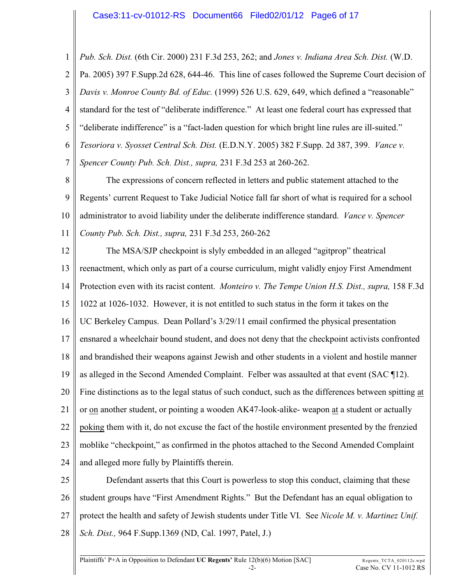1 2 3 4 5 6 7 *Pub. Sch. Dist.* (6th Cir. 2000) 231 F.3d 253, 262; and *Jones v. Indiana Area Sch. Dist.* (W.D. Pa. 2005) 397 F.Supp.2d 628, 644-46. This line of cases followed the Supreme Court decision of *Davis v. Monroe County Bd. of Educ.* (1999) 526 U.S. 629, 649, which defined a "reasonable" standard for the test of "deliberate indifference." At least one federal court has expressed that "deliberate indifference" is a "fact-laden question for which bright line rules are ill-suited." *Tesoriora v. Syosset Central Sch. Dist.* (E.D.N.Y. 2005) 382 F.Supp. 2d 387, 399. *Vance v. Spencer County Pub. Sch. Dist., supra,* 231 F.3d 253 at 260-262.

8 9 10 11 The expressions of concern reflected in letters and public statement attached to the Regents' current Request to Take Judicial Notice fall far short of what is required for a school administrator to avoid liability under the deliberate indifference standard. *Vance v. Spencer County Pub. Sch. Dist., supra,* 231 F.3d 253, 260-262

12 13 14 15 16 17 18 19 20 21 22 23 24 The MSA/SJP checkpoint is slyly embedded in an alleged "agitprop" theatrical reenactment, which only as part of a course curriculum, might validly enjoy First Amendment Protection even with its racist content. *Monteiro v. The Tempe Union H.S. Dist., supra,* 158 F.3d 1022 at 1026-1032. However, it is not entitled to such status in the form it takes on the UC Berkeley Campus. Dean Pollard's 3/29/11 email confirmed the physical presentation ensnared a wheelchair bound student, and does not deny that the checkpoint activists confronted and brandished their weapons against Jewish and other students in a violent and hostile manner as alleged in the Second Amended Complaint. Felber was assaulted at that event (SAC ¶12). Fine distinctions as to the legal status of such conduct, such as the differences between spitting at or on another student, or pointing a wooden AK47-look-alike- weapon at a student or actually poking them with it, do not excuse the fact of the hostile environment presented by the frenzied moblike "checkpoint," as confirmed in the photos attached to the Second Amended Complaint and alleged more fully by Plaintiffs therein.

25 26 27 28 Defendant asserts that this Court is powerless to stop this conduct, claiming that these student groups have "First Amendment Rights." But the Defendant has an equal obligation to protect the health and safety of Jewish students under Title VI. See *Nicole M. v. Martinez Unif. Sch. Dist.,* 964 F.Supp.1369 (ND, Cal. 1997, Patel, J.)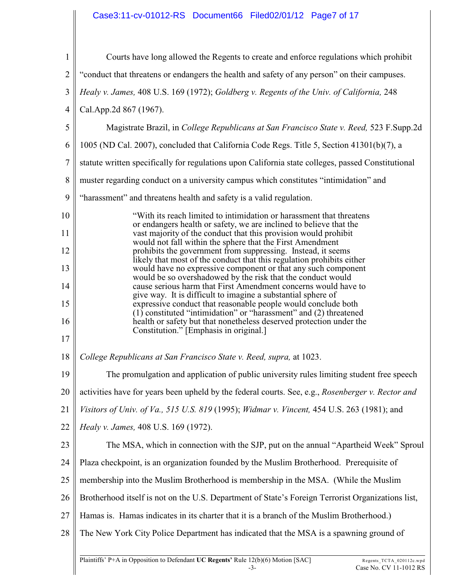# Case3:11-cv-01012-RS Document66 Filed02/01/12 Page7 of 17

| $\mathbf{1}$   | Courts have long allowed the Regents to create and enforce regulations which prohibit                                                                                                              |
|----------------|----------------------------------------------------------------------------------------------------------------------------------------------------------------------------------------------------|
| $\mathbf{2}$   | "conduct that threatens or endangers the health and safety of any person" on their campuses.                                                                                                       |
| 3              | Healy v. James, 408 U.S. 169 (1972); Goldberg v. Regents of the Univ. of California, 248                                                                                                           |
| $\overline{4}$ | Cal.App.2d 867 (1967).                                                                                                                                                                             |
| 5              | Magistrate Brazil, in College Republicans at San Francisco State v. Reed, 523 F.Supp.2d                                                                                                            |
| 6              | 1005 (ND Cal. 2007), concluded that California Code Regs. Title 5, Section 41301(b)(7), a                                                                                                          |
| $\overline{7}$ | statute written specifically for regulations upon California state colleges, passed Constitutional                                                                                                 |
| 8              | muster regarding conduct on a university campus which constitutes "intimidation" and                                                                                                               |
| 9              | "harassment" and threatens health and safety is a valid regulation.                                                                                                                                |
| 10             | "With its reach limited to intimidation or harassment that threatens                                                                                                                               |
| 11             | or endangers health or safety, we are inclined to believe that the<br>vast majority of the conduct that this provision would prohibit<br>would not fall within the sphere that the First Amendment |
| 12             | prohibits the government from suppressing. Instead, it seems<br>likely that most of the conduct that this regulation prohibits either                                                              |
| 13             | would have no expressive component or that any such component<br>would be so overshadowed by the risk that the conduct would                                                                       |
| 14             | cause serious harm that First Amendment concerns would have to<br>give way. It is difficult to imagine a substantial sphere of                                                                     |
| 15             | expressive conduct that reasonable people would conclude both<br>$(1)$ constituted "intimidation" or "harassment" and $(2)$ threatened                                                             |
| 16             | health or safety but that nonetheless deserved protection under the<br>Constitution." [Emphasis in original.]                                                                                      |
| 17             |                                                                                                                                                                                                    |
| 18             | College Republicans at San Francisco State v. Reed, supra, at 1023.                                                                                                                                |
| 19             | The promulgation and application of public university rules limiting student free speech                                                                                                           |
| 20             | activities have for years been upheld by the federal courts. See, e.g., Rosenberger v. Rector and                                                                                                  |
| 21             | Visitors of Univ. of Va., 515 U.S. 819 (1995); Widmar v. Vincent, 454 U.S. 263 (1981); and                                                                                                         |
| 22             | Healy v. James, 408 U.S. 169 (1972).                                                                                                                                                               |
| 23             | The MSA, which in connection with the SJP, put on the annual "Apartheid Week" Sproul                                                                                                               |
| 24             | Plaza checkpoint, is an organization founded by the Muslim Brotherhood. Prerequisite of                                                                                                            |
| 25             | membership into the Muslim Brotherhood is membership in the MSA. (While the Muslim                                                                                                                 |
| 26             | Brotherhood itself is not on the U.S. Department of State's Foreign Terrorist Organizations list,                                                                                                  |
| 27             | Hamas is. Hamas indicates in its charter that it is a branch of the Muslim Brotherhood.)                                                                                                           |
| 28             | The New York City Police Department has indicated that the MSA is a spawning ground of                                                                                                             |
|                |                                                                                                                                                                                                    |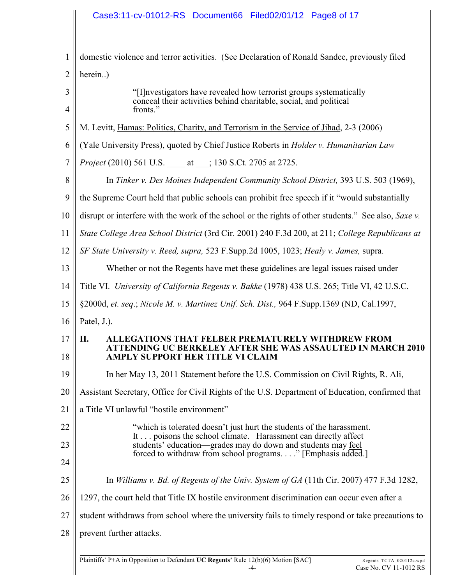# Case3:11-cv-01012-RS Document66 Filed02/01/12 Page8 of 17

| $\mathbf{1}$   | domestic violence and terror activities. (See Declaration of Ronald Sandee, previously filed                                                                      |
|----------------|-------------------------------------------------------------------------------------------------------------------------------------------------------------------|
| $\overline{2}$ | herein)                                                                                                                                                           |
| 3<br>4         | "[I] nvestigators have revealed how terrorist groups systematically<br>conceal their activities behind charitable, social, and political<br>fronts."              |
| 5              | M. Levitt, Hamas: Politics, Charity, and Terrorism in the Service of Jihad, 2-3 (2006)                                                                            |
| 6              | (Yale University Press), quoted by Chief Justice Roberts in <i>Holder v. Humanitarian Law</i>                                                                     |
| $\overline{7}$ | <i>Project</i> (2010) 561 U.S. _____ at ____; 130 S.Ct. 2705 at 2725.                                                                                             |
| 8              | In Tinker v. Des Moines Independent Community School District, 393 U.S. 503 (1969),                                                                               |
| 9              | the Supreme Court held that public schools can prohibit free speech if it "would substantially                                                                    |
| 10             | disrupt or interfere with the work of the school or the rights of other students." See also, Saxe v.                                                              |
| 11             | State College Area School District (3rd Cir. 2001) 240 F.3d 200, at 211; College Republicans at                                                                   |
| 12             | SF State University v. Reed, supra, 523 F.Supp.2d 1005, 1023; Healy v. James, supra.                                                                              |
| 13             | Whether or not the Regents have met these guidelines are legal issues raised under                                                                                |
| 14             | Title VI. University of California Regents v. Bakke (1978) 438 U.S. 265; Title VI, 42 U.S.C.                                                                      |
| 15             | §2000d, et. seq.; Nicole M. v. Martinez Unif. Sch. Dist., 964 F.Supp.1369 (ND, Cal.1997,                                                                          |
| 16             | Patel, J.).                                                                                                                                                       |
| 17<br>18       | П.<br><b>ALLEGATIONS THAT FELBER PREMATURELY WITHDREW FROM</b><br>ATTENDING UC BERKELEY AFTER SHE WAS ASSAULTED IN MARCH 2010<br>AMPLY SUPPORT HER TITLE VI CLAIM |
| 19             | In her May 13, 2011 Statement before the U.S. Commission on Civil Rights, R. Ali,                                                                                 |
| 20             | Assistant Secretary, Office for Civil Rights of the U.S. Department of Education, confirmed that                                                                  |
| 21             | a Title VI unlawful "hostile environment"                                                                                                                         |
| 22             | "which is tolerated doesn't just hurt the students of the harassment.                                                                                             |
| 23             | It poisons the school climate. Harassment can directly affect<br>students' education—grades may do down and students may feel                                     |
| 24             | forced to withdraw from school programs" [Emphasis added.]                                                                                                        |
| 25             | In Williams v. Bd. of Regents of the Univ. System of $GA$ (11th Cir. 2007) 477 F.3d 1282,                                                                         |
| 26             | 1297, the court held that Title IX hostile environment discrimination can occur even after a                                                                      |
| 27             | student withdraws from school where the university fails to timely respond or take precautions to                                                                 |
| 28             | prevent further attacks.                                                                                                                                          |
|                |                                                                                                                                                                   |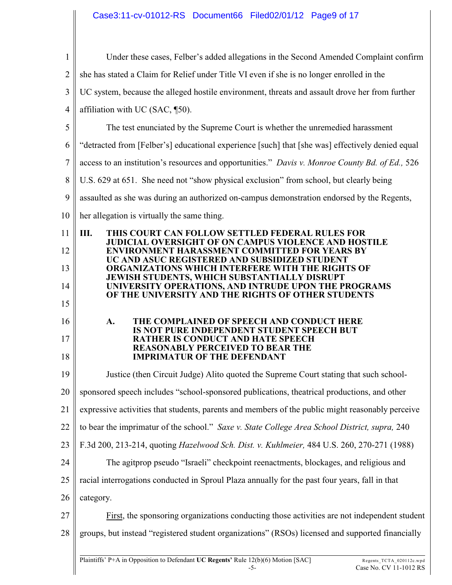# Case3:11-cv-01012-RS Document66 Filed02/01/12 Page9 of 17

| $\mathbf{1}$   | Under these cases, Felber's added allegations in the Second Amended Complaint confirm                                  |
|----------------|------------------------------------------------------------------------------------------------------------------------|
| $\overline{2}$ | she has stated a Claim for Relief under Title VI even if she is no longer enrolled in the                              |
| 3              | UC system, because the alleged hostile environment, threats and assault drove her from further                         |
| $\overline{4}$ | affiliation with UC (SAC, 150).                                                                                        |
| 5              | The test enunciated by the Supreme Court is whether the unremedied harassment                                          |
| 6              | "detracted from [Felber's] educational experience [such] that [she was] effectively denied equal                       |
| 7              | access to an institution's resources and opportunities." Davis v. Monroe County Bd. of Ed., 526                        |
| 8              | U.S. 629 at 651. She need not "show physical exclusion" from school, but clearly being                                 |
| 9              | assaulted as she was during an authorized on-campus demonstration endorsed by the Regents,                             |
| 10             | her allegation is virtually the same thing.                                                                            |
| 11             | III.<br>THIS COURT CAN FOLLOW SETTLED FEDERAL RULES FOR<br><b>JUDICIAL OVERSIGHT OF ON CAMPUS VIOLENCE AND HOSTILE</b> |
| 12             | <b>ENVIRONMENT HARASSMENT COMMITTED FOR YEARS BY</b><br>UC AND ASUC REGISTERED AND SUBSIDIZED STUDENT                  |
| 13             | ORGANIZATIONS WHICH INTERFERE WITH THE RIGHTS OF<br>JEWISH STUDENTS, WHICH SUBSTANTIALLY DISRUPT                       |
| 14             | UNIVERSITY OPERATIONS, AND INTRUDE UPON THE PROGRAMS<br>OF THE UNIVERSITY AND THE RIGHTS OF OTHER STUDENTS             |
| 15             |                                                                                                                        |
| 16             | THE COMPLAINED OF SPEECH AND CONDUCT HERE<br>A.<br>IS NOT PURE INDEPENDENT STUDENT SPEECH BUT                          |
| 17             | <b>RATHER IS CONDUCT AND HATE SPEECH</b><br><b>REASONABLY PERCEIVED TO BEAR THE</b>                                    |
| 18             | <b>IMPRIMATUR OF THE DEFENDANT</b>                                                                                     |
| 19             | Justice (then Circuit Judge) Alito quoted the Supreme Court stating that such school-                                  |
| 20             | sponsored speech includes "school-sponsored publications, theatrical productions, and other                            |
| 21             | expressive activities that students, parents and members of the public might reasonably perceive                       |
| 22             | to bear the imprimatur of the school." Saxe v. State College Area School District, supra, 240                          |
| 23             | F.3d 200, 213-214, quoting Hazelwood Sch. Dist. v. Kuhlmeier, 484 U.S. 260, 270-271 (1988)                             |
| 24             | The agitprop pseudo "Israeli" checkpoint reenactments, blockages, and religious and                                    |
| 25             | racial interrogations conducted in Sproul Plaza annually for the past four years, fall in that                         |
| 26             | category.                                                                                                              |
|                |                                                                                                                        |
| 27             | First, the sponsoring organizations conducting those activities are not independent student                            |
| 28             | groups, but instead "registered student organizations" (RSOs) licensed and supported financially                       |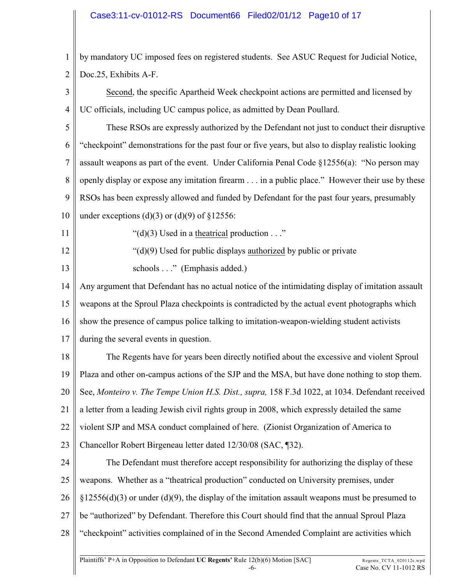### Case3:11-cv-01012-RS Document66 Filed02/01/12 Page10 of 17

1 2 by mandatory UC imposed fees on registered students. See ASUC Request for Judicial Notice, Doc.25, Exhibits A-F.

3 4 Second, the specific Apartheid Week checkpoint actions are permitted and licensed by UC officials, including UC campus police, as admitted by Dean Poullard.

5 6 7 8 9 These RSOs are expressly authorized by the Defendant not just to conduct their disruptive "checkpoint" demonstrations for the past four or five years, but also to display realistic looking assault weapons as part of the event. Under California Penal Code §12556(a): "No person may openly display or expose any imitation firearm . . . in a public place." However their use by these RSOs has been expressly allowed and funded by Defendant for the past four years, presumably

10 under exceptions (d)(3) or (d)(9) of  $\S 12556$ :

11

12

13

" $(d)(3)$  Used in a theatrical production  $\dots$ "

"(d)(9) Used for public displays authorized by public or private

schools . . ." (Emphasis added.)

14 15 16 Any argument that Defendant has no actual notice of the intimidating display of imitation assault weapons at the Sproul Plaza checkpoints is contradicted by the actual event photographs which show the presence of campus police talking to imitation-weapon-wielding student activists

17 during the several events in question.

18 19 20 21 22 23 The Regents have for years been directly notified about the excessive and violent Sproul Plaza and other on-campus actions of the SJP and the MSA, but have done nothing to stop them. See, *Monteiro v. The Tempe Union H.S. Dist., supra,* 158 F.3d 1022, at 1034. Defendant received a letter from a leading Jewish civil rights group in 2008, which expressly detailed the same violent SJP and MSA conduct complained of here. (Zionist Organization of America to Chancellor Robert Birgeneau letter dated 12/30/08 (SAC, ¶32).

24 25 26 27 28 The Defendant must therefore accept responsibility for authorizing the display of these weapons. Whether as a "theatrical production" conducted on University premises, under  $\S12556(d)(3)$  or under (d)(9), the display of the imitation assault weapons must be presumed to be "authorized" by Defendant. Therefore this Court should find that the annual Sproul Plaza "checkpoint" activities complained of in the Second Amended Complaint are activities which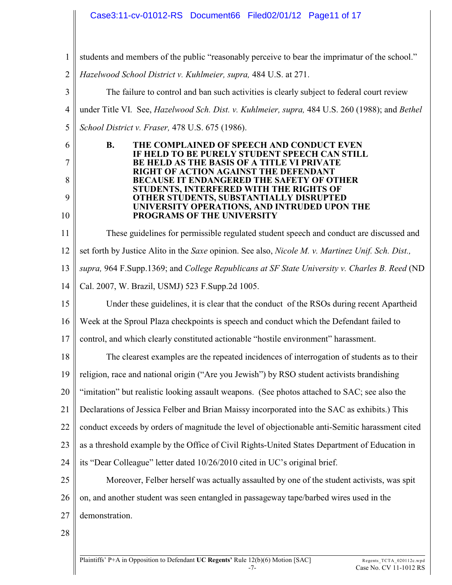# Case3:11-cv-01012-RS Document66 Filed02/01/12 Page11 of 17

- 1 students and members of the public "reasonably perceive to bear the imprimatur of the school."
- 2 *Hazelwood School District v. Kuhlmeier, supra,* 484 U.S. at 271.

3 4 5 The failure to control and ban such activities is clearly subject to federal court review under Title VI. See, *Hazelwood Sch. Dist. v. Kuhlmeier, supra,* 484 U.S. 260 (1988); and *Bethel School District v. Fraser,* 478 U.S. 675 (1986).

#### **B. THE COMPLAINED OF SPEECH AND CONDUCT EVEN IF HELD TO BE PURELY STUDENT SPEECH CAN STILL BE HELD AS THE BASIS OF A TITLE VI PRIVATE RIGHT OF ACTION AGAINST THE DEFENDANT BECAUSE IT ENDANGERED THE SAFETY OF OTHER STUDENTS, INTERFERED WITH THE RIGHTS OF OTHER STUDENTS, SUBSTANTIALLY DISRUPTED UNIVERSITY OPERATIONS, AND INTRUDED UPON THE PROGRAMS OF THE UNIVERSITY**

11 These guidelines for permissible regulated student speech and conduct are discussed and

- 12 set forth by Justice Alito in the *Saxe* opinion. See also, *Nicole M. v. Martinez Unif. Sch. Dist.,*
- 13 *supra,* 964 F.Supp.1369; and *College Republicans at SF State University v. Charles B. Reed* (ND
- 14 Cal. 2007, W. Brazil, USMJ) 523 F.Supp.2d 1005.

15 Under these guidelines, it is clear that the conduct of the RSOs during recent Apartheid

16 Week at the Sproul Plaza checkpoints is speech and conduct which the Defendant failed to

- 17 control, and which clearly constituted actionable "hostile environment" harassment.
- 18 The clearest examples are the repeated incidences of interrogation of students as to their
- 19 religion, race and national origin ("Are you Jewish") by RSO student activists brandishing
- 20 "imitation" but realistic looking assault weapons. (See photos attached to SAC; see also the
- 
- 21 Declarations of Jessica Felber and Brian Maissy incorporated into the SAC as exhibits.) This
- 22 conduct exceeds by orders of magnitude the level of objectionable anti-Semitic harassment cited
- 23 as a threshold example by the Office of Civil Rights-United States Department of Education in
- 24 its "Dear Colleague" letter dated 10/26/2010 cited in UC's original brief.
- 25 26 Moreover, Felber herself was actually assaulted by one of the student activists, was spit on, and another student was seen entangled in passageway tape/barbed wires used in the
- 27 demonstration.
- 28

6

7

8

9

10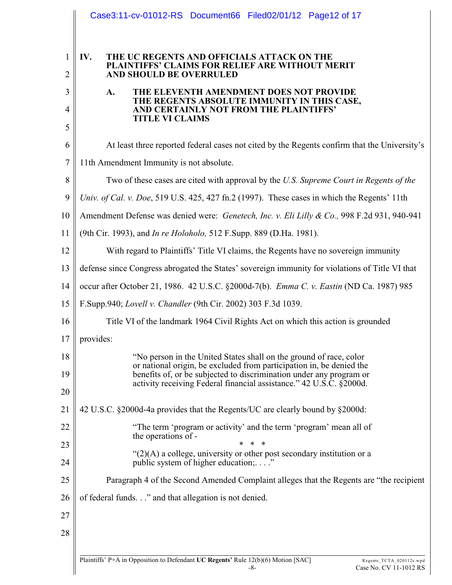|                                | Case3:11-cv-01012-RS Document66 Filed02/01/12 Page12 of 17                                                                                  |
|--------------------------------|---------------------------------------------------------------------------------------------------------------------------------------------|
| $\mathbf{1}$<br>$\overline{2}$ | IV.<br>THE UC REGENTS AND OFFICIALS ATTACK ON THE<br>PLAINTIFFS' CLAIMS FOR RELIEF ARE WITHOUT MERIT<br>AND SHOULD BE OVERRULED             |
| 3                              | A.<br>THE ELEVENTH AMENDMENT DOES NOT PROVIDE                                                                                               |
| 4                              | THE REGENTS ABSOLUTE IMMUNITY IN THIS CASE,<br>AND CERTAINLY NOT FROM THE PLAINTIFFS'                                                       |
| 5                              | <b>TITLE VI CLAIMS</b>                                                                                                                      |
| 6                              | At least three reported federal cases not cited by the Regents confirm that the University's                                                |
| 7                              |                                                                                                                                             |
|                                | 11th Amendment Immunity is not absolute.                                                                                                    |
| 8                              | Two of these cases are cited with approval by the U.S. Supreme Court in Regents of the                                                      |
| 9                              | Univ. of Cal. v. Doe, 519 U.S. 425, 427 fn.2 (1997). These cases in which the Regents' 11th                                                 |
| 10                             | Amendment Defense was denied were: Genetech, Inc. v. Eli Lilly & Co., 998 F.2d 931, 940-941                                                 |
| 11                             | (9th Cir. 1993), and <i>In re Holoholo</i> , 512 F.Supp. 889 (D.Ha. 1981).                                                                  |
| 12                             | With regard to Plaintiffs' Title VI claims, the Regents have no sovereign immunity                                                          |
| 13                             | defense since Congress abrogated the States' sovereign immunity for violations of Title VI that                                             |
| 14                             | occur after October 21, 1986. 42 U.S.C. §2000d-7(b). Emma C. v. Eastin (ND Ca. 1987) 985                                                    |
| 15                             | F.Supp.940; Lovell v. Chandler (9th Cir. 2002) 303 F.3d 1039.                                                                               |
| 16                             | Title VI of the landmark 1964 Civil Rights Act on which this action is grounded                                                             |
| 17                             | provides:                                                                                                                                   |
| 18                             | "No person in the United States shall on the ground of race, color                                                                          |
| 19                             | or national origin, be excluded from participation in, be denied the<br>benefits of, or be subjected to discrimination under any program or |
| 20                             | activity receiving Federal financial assistance." 42 U.S.C. §2000d.                                                                         |
| 21                             | 42 U.S.C. §2000d-4a provides that the Regents/UC are clearly bound by §2000d:                                                               |
| 22                             | "The term 'program or activity' and the term 'program' mean all of                                                                          |
| 23                             | the operations of -                                                                                                                         |
| 24                             | " $(2)(A)$ a college, university or other post secondary institution or a<br>public system of higher education:"                            |
| 25                             | Paragraph 4 of the Second Amended Complaint alleges that the Regents are "the recipient"                                                    |
| 26                             | of federal funds." and that allegation is not denied.                                                                                       |
| 27                             |                                                                                                                                             |
| 28                             |                                                                                                                                             |
|                                |                                                                                                                                             |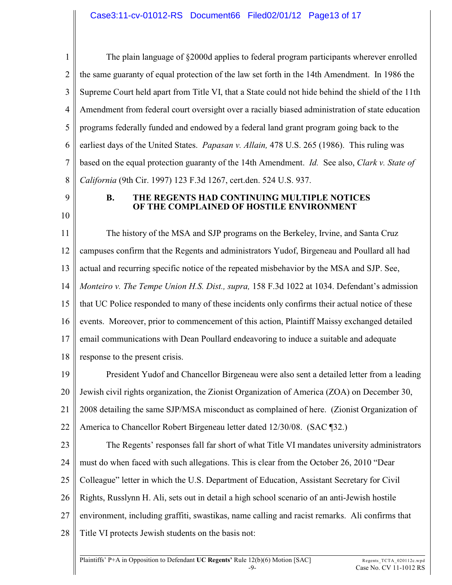1 2 3 4 5 6 7 8 The plain language of §2000d applies to federal program participants wherever enrolled the same guaranty of equal protection of the law set forth in the 14th Amendment. In 1986 the Supreme Court held apart from Title VI, that a State could not hide behind the shield of the 11th Amendment from federal court oversight over a racially biased administration of state education programs federally funded and endowed by a federal land grant program going back to the earliest days of the United States. *Papasan v. Allain,* 478 U.S. 265 (1986). This ruling was based on the equal protection guaranty of the 14th Amendment. *Id.* See also, *Clark v. State of California* (9th Cir. 1997) 123 F.3d 1267, cert.den. 524 U.S. 937.

9 10

#### **B. THE REGENTS HAD CONTINUING MULTIPLE NOTICES OF THE COMPLAINED OF HOSTILE ENVIRONMENT**

11 12 13 14 15 16 17 18 The history of the MSA and SJP programs on the Berkeley, Irvine, and Santa Cruz campuses confirm that the Regents and administrators Yudof, Birgeneau and Poullard all had actual and recurring specific notice of the repeated misbehavior by the MSA and SJP. See, *Monteiro v. The Tempe Union H.S. Dist., supra,* 158 F.3d 1022 at 1034. Defendant's admission that UC Police responded to many of these incidents only confirms their actual notice of these events. Moreover, prior to commencement of this action, Plaintiff Maissy exchanged detailed email communications with Dean Poullard endeavoring to induce a suitable and adequate response to the present crisis.

19 20 21 22 President Yudof and Chancellor Birgeneau were also sent a detailed letter from a leading Jewish civil rights organization, the Zionist Organization of America (ZOA) on December 30, 2008 detailing the same SJP/MSA misconduct as complained of here. (Zionist Organization of America to Chancellor Robert Birgeneau letter dated 12/30/08. (SAC ¶32.)

23 24 25 26 27 28 The Regents' responses fall far short of what Title VI mandates university administrators must do when faced with such allegations. This is clear from the October 26, 2010 "Dear Colleague" letter in which the U.S. Department of Education, Assistant Secretary for Civil Rights, Russlynn H. Ali, sets out in detail a high school scenario of an anti-Jewish hostile environment, including graffiti, swastikas, name calling and racist remarks. Ali confirms that Title VI protects Jewish students on the basis not: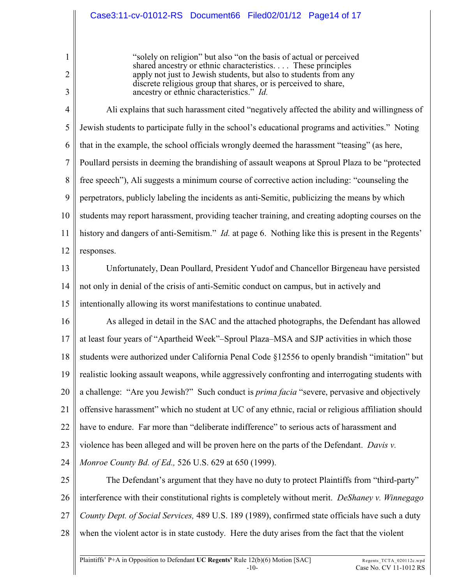# Case3:11-cv-01012-RS Document66 Filed02/01/12 Page14 of 17

1

2

3

"solely on religion" but also "on the basis of actual or perceived shared ancestry or ethnic characteristics. . . . These principles apply not just to Jewish students, but also to students from any discrete religious group that shares, or is perceived to share, ancestry or ethnic characteristics." *Id.*

4 5 6 7 8 9 10 11 12 Ali explains that such harassment cited "negatively affected the ability and willingness of Jewish students to participate fully in the school's educational programs and activities." Noting that in the example, the school officials wrongly deemed the harassment "teasing" (as here, Poullard persists in deeming the brandishing of assault weapons at Sproul Plaza to be "protected free speech"), Ali suggests a minimum course of corrective action including: "counseling the perpetrators, publicly labeling the incidents as anti-Semitic, publicizing the means by which students may report harassment, providing teacher training, and creating adopting courses on the history and dangers of anti-Semitism." *Id.* at page 6. Nothing like this is present in the Regents' responses.

13 14 15 Unfortunately, Dean Poullard, President Yudof and Chancellor Birgeneau have persisted not only in denial of the crisis of anti-Semitic conduct on campus, but in actively and intentionally allowing its worst manifestations to continue unabated.

16 17 18 19 20 21 22 23 24 As alleged in detail in the SAC and the attached photographs, the Defendant has allowed at least four years of "Apartheid Week"–Sproul Plaza–MSA and SJP activities in which those students were authorized under California Penal Code §12556 to openly brandish "imitation" but realistic looking assault weapons, while aggressively confronting and interrogating students with a challenge: "Are you Jewish?" Such conduct is *prima facia* "severe, pervasive and objectively offensive harassment" which no student at UC of any ethnic, racial or religious affiliation should have to endure. Far more than "deliberate indifference" to serious acts of harassment and violence has been alleged and will be proven here on the parts of the Defendant. *Davis v. Monroe County Bd. of Ed.,* 526 U.S. 629 at 650 (1999).

25 26 27 28 The Defendant's argument that they have no duty to protect Plaintiffs from "third-party" interference with their constitutional rights is completely without merit. *DeShaney v. Winnegago County Dept. of Social Services,* 489 U.S. 189 (1989), confirmed state officials have such a duty when the violent actor is in state custody. Here the duty arises from the fact that the violent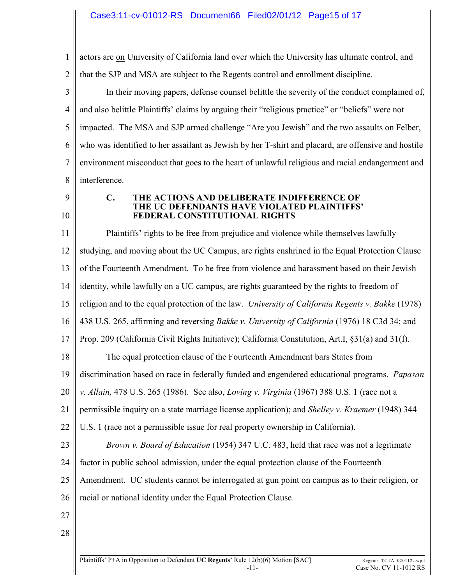1 2 actors are on University of California land over which the University has ultimate control, and that the SJP and MSA are subject to the Regents control and enrollment discipline.

3 4 5 6 7 8 In their moving papers, defense counsel belittle the severity of the conduct complained of, and also belittle Plaintiffs' claims by arguing their "religious practice" or "beliefs" were not impacted. The MSA and SJP armed challenge "Are you Jewish" and the two assaults on Felber, who was identified to her assailant as Jewish by her T-shirt and placard, are offensive and hostile environment misconduct that goes to the heart of unlawful religious and racial endangerment and interference.

9 10

#### **C. THE ACTIONS AND DELIBERATE INDIFFERENCE OF THE UC DEFENDANTS HAVE VIOLATED PLAINTIFFS' FEDERAL CONSTITUTIONAL RIGHTS**

11 12 13 14 15 16 17 18 19 20 21 22 23 24 25 26 27 Plaintiffs' rights to be free from prejudice and violence while themselves lawfully studying, and moving about the UC Campus, are rights enshrined in the Equal Protection Clause of the Fourteenth Amendment. To be free from violence and harassment based on their Jewish identity, while lawfully on a UC campus, are rights guaranteed by the rights to freedom of religion and to the equal protection of the law. *University of California Regents v. Bakke* (1978) 438 U.S. 265, affirming and reversing *Bakke v. University of California* (1976) 18 C3d 34; and Prop. 209 (California Civil Rights Initiative); California Constitution, Art.I, §31(a) and 31(f). The equal protection clause of the Fourteenth Amendment bars States from discrimination based on race in federally funded and engendered educational programs. *Papasan v. Allain,* 478 U.S. 265 (1986). See also, *Loving v. Virginia* (1967) 388 U.S. 1 (race not a permissible inquiry on a state marriage license application); and *Shelley v. Kraemer* (1948) 344 U.S. 1 (race not a permissible issue for real property ownership in California). *Brown v. Board of Education* (1954) 347 U.C. 483, held that race was not a legitimate factor in public school admission, under the equal protection clause of the Fourteenth Amendment. UC students cannot be interrogated at gun point on campus as to their religion, or racial or national identity under the Equal Protection Clause.

28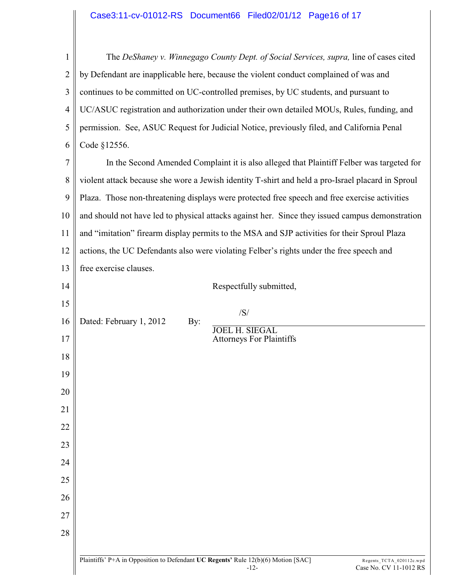#### Case3:11-cv-01012-RS Document66 Filed02/01/12 Page16 of 17

1 2 3 4 5 6 The *DeShaney v. Winnegago County Dept. of Social Services, supra, line of cases cited* by Defendant are inapplicable here, because the violent conduct complained of was and continues to be committed on UC-controlled premises, by UC students, and pursuant to UC/ASUC registration and authorization under their own detailed MOUs, Rules, funding, and permission. See, ASUC Request for Judicial Notice, previously filed, and California Penal Code §12556.

7 8 9 10 11 12 13 In the Second Amended Complaint it is also alleged that Plaintiff Felber was targeted for violent attack because she wore a Jewish identity T-shirt and held a pro-Israel placard in Sproul Plaza. Those non-threatening displays were protected free speech and free exercise activities and should not have led to physical attacks against her. Since they issued campus demonstration and "imitation" firearm display permits to the MSA and SJP activities for their Sproul Plaza actions, the UC Defendants also were violating Felber's rights under the free speech and free exercise clauses.

| 14 |                         |     | Respectfully submitted,                                                                     |                                                    |
|----|-------------------------|-----|---------------------------------------------------------------------------------------------|----------------------------------------------------|
| 15 |                         |     |                                                                                             |                                                    |
| 16 | Dated: February 1, 2012 | By: | /S/                                                                                         |                                                    |
| 17 |                         |     | <b>JOEL H. SIEGAL</b><br><b>Attorneys For Plaintiffs</b>                                    |                                                    |
| 18 |                         |     |                                                                                             |                                                    |
| 19 |                         |     |                                                                                             |                                                    |
| 20 |                         |     |                                                                                             |                                                    |
| 21 |                         |     |                                                                                             |                                                    |
| 22 |                         |     |                                                                                             |                                                    |
| 23 |                         |     |                                                                                             |                                                    |
| 24 |                         |     |                                                                                             |                                                    |
| 25 |                         |     |                                                                                             |                                                    |
| 26 |                         |     |                                                                                             |                                                    |
| 27 |                         |     |                                                                                             |                                                    |
| 28 |                         |     |                                                                                             |                                                    |
|    |                         |     |                                                                                             |                                                    |
|    |                         |     | Plaintiffs' P+A in Opposition to Defendant UC Regents' Rule 12(b)(6) Motion [SAC]<br>$-12-$ | Regents_TCTA_020112c.wpd<br>Case No. CV 11-1012 RS |